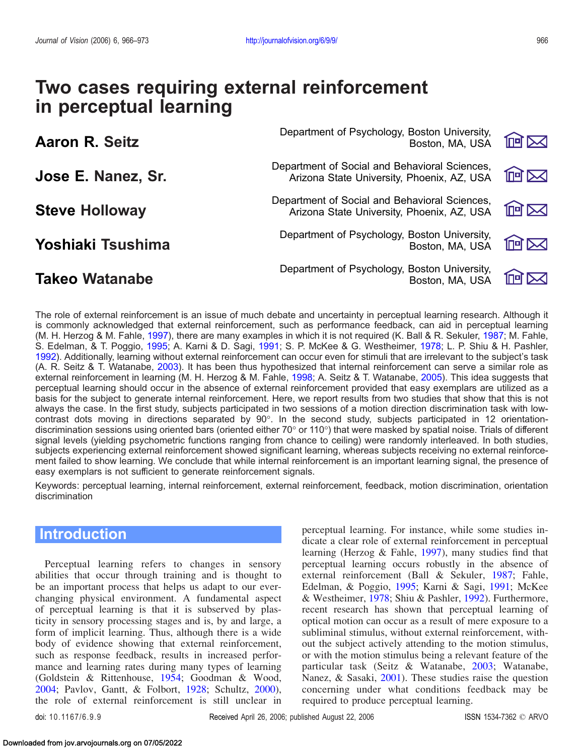| <b>Aaron R. Seitz</b> | Department of Psychology, Boston University,<br>Boston, MA, USA                             | <b>North</b> |
|-----------------------|---------------------------------------------------------------------------------------------|--------------|
| Jose E. Nanez, Sr.    | Department of Social and Behavioral Sciences,<br>Arizona State University, Phoenix, AZ, USA | <b>個区</b>    |
| <b>Steve Holloway</b> | Department of Social and Behavioral Sciences,<br>Arizona State University, Phoenix, AZ, USA | <b>MM</b>    |
| Yoshiaki Tsushima     | Department of Psychology, Boston University,<br>Boston, MA, USA                             | <b>阿区</b>    |
| <b>Takeo Watanabe</b> | Department of Psychology, Boston University,<br>Boston, MA, USA                             |              |

The role of external reinforcement is an issue of much debate and uncertainty in perceptual learning research. Although it is commonly acknowledged that external reinforcement, such as performance feedback, can aid in perceptual learning (M. H. Herzog & M. Fahle, [1997\)](#page-7-0), there are many examples in which it is not required (K. Ball & R. Sekuler, [1987](#page-6-0); M. Fahle, S. Edelman, & T. Poggio, [1995;](#page-6-0) A. Karni & D. Sagi, [1991](#page-7-0); S. P. McKee & G. Westheimer, [1978;](#page-7-0) L. P. Shiu & H. Pashler, [1992](#page-7-0)). Additionally, learning without external reinforcement can occur even for stimuli that are irrelevant to the subject's task (A. R. Seitz & T. Watanabe, [2003](#page-7-0)). It has been thus hypothesized that internal reinforcement can serve a similar role as external reinforcement in learning (M. H. Herzog & M. Fahle, [1998;](#page-7-0) A. Seitz & T. Watanabe, [2005\)](#page-7-0). This idea suggests that perceptual learning should occur in the absence of external reinforcement provided that easy exemplars are utilized as a basis for the subject to generate internal reinforcement. Here, we report results from two studies that show that this is not always the case. In the first study, subjects participated in two sessions of a motion direction discrimination task with lowcontrast dots moving in directions separated by  $90^{\circ}$ . In the second study, subjects participated in 12 orientationdiscrimination sessions using oriented bars (oriented either 70 $\degree$  or 110 $\degree$ ) that were masked by spatial noise. Trials of different signal levels (yielding psychometric functions ranging from chance to ceiling) were randomly interleaved. In both studies, subjects experiencing external reinforcement showed significant learning, whereas subjects receiving no external reinforcement failed to show learning. We conclude that while internal reinforcement is an important learning signal, the presence of easy exemplars is not sufficient to generate reinforcement signals.

Keywords: perceptual learning, internal reinforcement, external reinforcement, feedback, motion discrimination, orientation discrimination

# Introduction

Perceptual learning refers to changes in sensory abilities that occur through training and is thought to be an important process that helps us adapt to our everchanging physical environment. A fundamental aspect of perceptual learning is that it is subserved by plasticity in sensory processing stages and is, by and large, a form of implicit learning. Thus, although there is a wide body of evidence showing that external reinforcement, such as response feedback, results in increased performance and learning rates during many types of learning (Goldstein & Rittenhouse, [1954;](#page-7-0) Goodman & Wood, [2004;](#page-7-0) Pavlov, Gantt, & Folbort, [1928;](#page-7-0) Schultz, [2000\)](#page-7-0), the role of external reinforcement is still unclear in

perceptual learning. For instance, while some studies indicate a clear role of external reinforcement in perceptual learning (Herzog & Fahle, [1997](#page-7-0)), many studies find that perceptual learning occurs robustly in the absence of external reinforcement (Ball & Sekuler, [1987;](#page-6-0) Fahle, Edelman, & Poggio, [1995](#page-6-0); Karni & Sagi, [1991](#page-7-0); McKee & Westheimer, [1978;](#page-7-0) Shiu & Pashler, [1992](#page-7-0)). Furthermore, recent research has shown that perceptual learning of optical motion can occur as a result of mere exposure to a subliminal stimulus, without external reinforcement, without the subject actively attending to the motion stimulus, or with the motion stimulus being a relevant feature of the particular task (Seitz & Watanabe, [2003](#page-7-0); Watanabe, Nanez, & Sasaki, [2001](#page-7-0)). These studies raise the question concerning under what conditions feedback may be required to produce perceptual learning.

doi: 10.1167/6.9.9 **Received April 26, 2006; published August 22, 2006** ISSN 1534-7362 © ARVO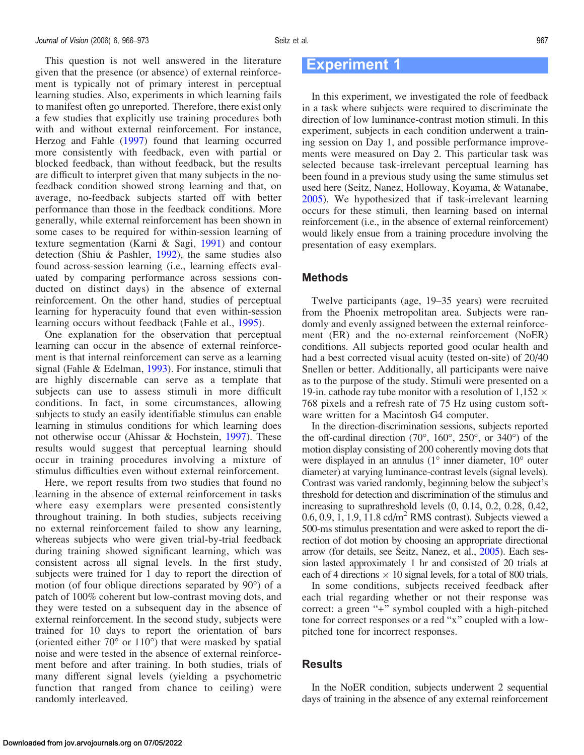## Experiment 1

In this experiment, we investigated the role of feedback in a task where subjects were required to discriminate the direction of low luminance-contrast motion stimuli. In this experiment, subjects in each condition underwent a training session on Day 1, and possible performance improvements were measured on Day 2. This particular task was selected because task-irrelevant perceptual learning has been found in a previous study using the same stimulus set used here (Seitz, Nanez, Holloway, Koyama, & Watanabe, [2005\)](#page-7-0). We hypothesized that if task-irrelevant learning occurs for these stimuli, then learning based on internal reinforcement (i.e., in the absence of external reinforcement) would likely ensue from a training procedure involving the presentation of easy exemplars.

### Methods

Twelve participants (age, 19–35 years) were recruited from the Phoenix metropolitan area. Subjects were randomly and evenly assigned between the external reinforcement (ER) and the no-external reinforcement (NoER) conditions. All subjects reported good ocular health and had a best corrected visual acuity (tested on-site) of 20/40 Snellen or better. Additionally, all participants were naive as to the purpose of the study. Stimuli were presented on a 19-in. cathode ray tube monitor with a resolution of  $1,152 \times$ 768 pixels and a refresh rate of 75 Hz using custom software written for a Macintosh G4 computer.

In the direction-discrimination sessions, subjects reported the off-cardinal direction  $(70^{\circ}, 160^{\circ}, 250^{\circ}, \text{ or } 340^{\circ})$  of the motion display consisting of 200 coherently moving dots that were displayed in an annulus  $(1^{\circ}$  inner diameter,  $10^{\circ}$  outer diameter) at varying luminance-contrast levels (signal levels). Contrast was varied randomly, beginning below the subject's threshold for detection and discrimination of the stimulus and increasing to suprathreshold levels (0, 0.14, 0.2, 0.28, 0.42,  $0.6, 0.9, 1, 1.9, 11.8$  cd/m<sup>2</sup> RMS contrast). Subjects viewed a 500-ms stimulus presentation and were asked to report the direction of dot motion by choosing an appropriate directional arrow (for details, see Seitz, Nanez, et al., [2005](#page-7-0)). Each session lasted approximately 1 hr and consisted of 20 trials at each of 4 directions  $\times$  10 signal levels, for a total of 800 trials.

In some conditions, subjects received feedback after each trial regarding whether or not their response was correct: a green " $+$ " symbol coupled with a high-pitched tone for correct responses or a red "x" coupled with a lowpitched tone for incorrect responses.

#### Results

In the NoER condition, subjects underwent 2 sequential days of training in the absence of any external reinforcement

<span id="page-1-0"></span>This question is not well answered in the literature given that the presence (or absence) of external reinforcement is typically not of primary interest in perceptual learning studies. Also, experiments in which learning fails to manifest often go unreported. Therefore, there exist only a few studies that explicitly use training procedures both with and without external reinforcement. For instance, Herzog and Fahle [\(1997](#page-7-0)) found that learning occurred more consistently with feedback, even with partial or blocked feedback, than without feedback, but the results are difficult to interpret given that many subjects in the nofeedback condition showed strong learning and that, on average, no-feedback subjects started off with better performance than those in the feedback conditions. More generally, while external reinforcement has been shown in some cases to be required for within-session learning of texture segmentation (Karni & Sagi, [1991](#page-7-0)) and contour detection (Shiu & Pashler, [1992\)](#page-7-0), the same studies also found across-session learning (i.e., learning effects evaluated by comparing performance across sessions conducted on distinct days) in the absence of external reinforcement. On the other hand, studies of perceptual learning for hyperacuity found that even within-session learning occurs without feedback (Fahle et al., [1995](#page-6-0)).

One explanation for the observation that perceptual learning can occur in the absence of external reinforcement is that internal reinforcement can serve as a learning signal (Fahle & Edelman, [1993\)](#page-6-0). For instance, stimuli that are highly discernable can serve as a template that subjects can use to assess stimuli in more difficult conditions. In fact, in some circumstances, allowing subjects to study an easily identifiable stimulus can enable learning in stimulus conditions for which learning does not otherwise occur (Ahissar & Hochstein, [1997](#page-6-0)). These results would suggest that perceptual learning should occur in training procedures involving a mixture of stimulus difficulties even without external reinforcement.

Here, we report results from two studies that found no learning in the absence of external reinforcement in tasks where easy exemplars were presented consistently throughout training. In both studies, subjects receiving no external reinforcement failed to show any learning, whereas subjects who were given trial-by-trial feedback during training showed significant learning, which was consistent across all signal levels. In the first study, subjects were trained for 1 day to report the direction of motion (of four oblique directions separated by  $90^{\circ}$ ) of a patch of 100% coherent but low-contrast moving dots, and they were tested on a subsequent day in the absence of external reinforcement. In the second study, subjects were trained for 10 days to report the orientation of bars (oriented either  $70^{\circ}$  or  $110^{\circ}$ ) that were masked by spatial noise and were tested in the absence of external reinforcement before and after training. In both studies, trials of many different signal levels (yielding a psychometric function that ranged from chance to ceiling) were randomly interleaved.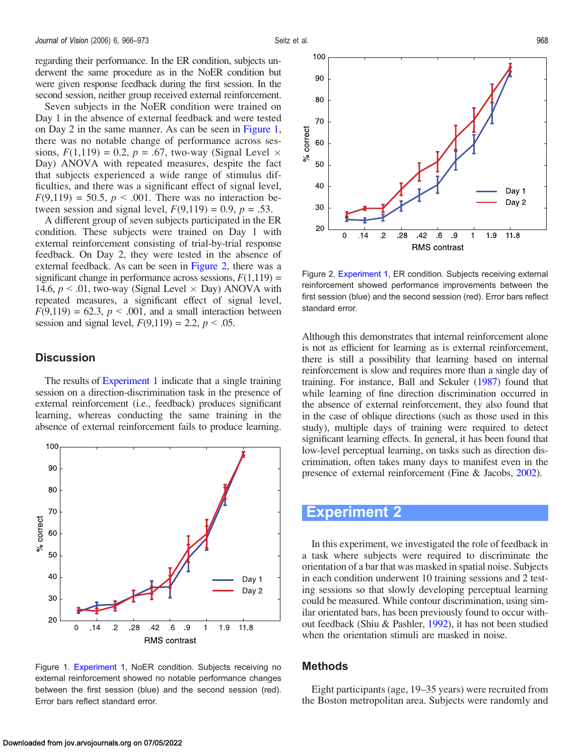<span id="page-2-0"></span>regarding their performance. In the ER condition, subjects underwent the same procedure as in the NoER condition but were given response feedback during the first session. In the second session, neither group received external reinforcement.

Seven subjects in the NoER condition were trained on Day 1 in the absence of external feedback and were tested on Day 2 in the same manner. As can be seen in Figure 1, there was no notable change of performance across sessions,  $F(1,119) = 0.2$ ,  $p = .67$ , two-way (Signal Level  $\times$ Day) ANOVA with repeated measures, despite the fact that subjects experienced a wide range of stimulus difficulties, and there was a significant effect of signal level,  $F(9,119) = 50.5$ ,  $p < .001$ . There was no interaction between session and signal level,  $F(9,119) = 0.9$ ,  $p = .53$ .

A different group of seven subjects participated in the ER condition. These subjects were trained on Day 1 with external reinforcement consisting of trial-by-trial response feedback. On Day 2, they were tested in the absence of external feedback. As can be seen in Figure 2, there was a significant change in performance across sessions,  $F(1,119) =$ 14.6,  $p < 0.01$ , two-way (Signal Level  $\times$  Day) ANOVA with repeated measures, a significant effect of signal level,  $F(9,119) = 62.3$ ,  $p < .001$ , and a small interaction between session and signal level,  $F(9,119) = 2.2, p < .05$ .

### **Discussion**

The results of [Experiment 1](#page-1-0) indicate that a single training session on a direction-discrimination task in the presence of external reinforcement (i.e., feedback) produces significant learning, whereas conducting the same training in the absence of external reinforcement fails to produce learning.



Figure 1. [Experiment 1](#page-1-0), NoER condition. Subjects receiving no external reinforcement showed no notable performance changes between the first session (blue) and the second session (red). Error bars reflect standard error.



Figure 2. [Experiment 1](#page-1-0), ER condition. Subjects receiving external reinforcement showed performance improvements between the first session (blue) and the second session (red). Error bars reflect standard error.

Although this demonstrates that internal reinforcement alone is not as efficient for learning as is external reinforcement, there is still a possibility that learning based on internal reinforcement is slow and requires more than a single day of training. For instance, Ball and Sekuler [\(1987\)](#page-6-0) found that while learning of fine direction discrimination occurred in the absence of external reinforcement, they also found that in the case of oblique directions (such as those used in this study), multiple days of training were required to detect significant learning effects. In general, it has been found that low-level perceptual learning, on tasks such as direction discrimination, often takes many days to manifest even in the presence of external reinforcement (Fine & Jacobs, [2002\)](#page-6-0).

## Experiment 2

In this experiment, we investigated the role of feedback in a task where subjects were required to discriminate the orientation of a bar that was masked in spatial noise. Subjects in each condition underwent 10 training sessions and 2 testing sessions so that slowly developing perceptual learning could be measured. While contour discrimination, using similar orientated bars, has been previously found to occur without feedback (Shiu & Pashler, [1992\)](#page-7-0), it has not been studied when the orientation stimuli are masked in noise.

### Methods

Eight participants (age, 19–35 years) were recruited from the Boston metropolitan area. Subjects were randomly and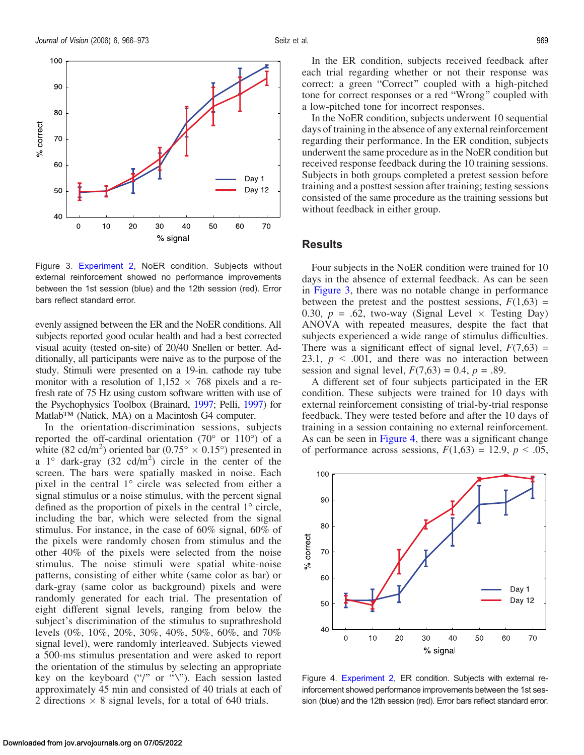

Figure 3. [Experiment 2](#page-2-0), NoER condition. Subjects without external reinforcement showed no performance improvements between the 1st session (blue) and the 12th session (red). Error bars reflect standard error.

evenly assigned between the ER and the NoER conditions. All subjects reported good ocular health and had a best corrected visual acuity (tested on-site) of 20/40 Snellen or better. Additionally, all participants were naive as to the purpose of the study. Stimuli were presented on a 19-in. cathode ray tube monitor with a resolution of  $1,152 \times 768$  pixels and a refresh rate of 75 Hz using custom software written with use of the Psychophysics Toolbox (Brainard, [1997;](#page-6-0) Pelli, [1997\)](#page-7-0) for  $Matlab<sup>TM</sup>$  (Natick, MA) on a Macintosh G4 computer.

In the orientation-discrimination sessions, subjects reported the off-cardinal orientation (70 $^{\circ}$  or 110 $^{\circ}$ ) of a white (82 cd/m<sup>2</sup>) oriented bar (0.75°  $\times$  0.15°) presented in a  $1^{\circ}$  dark-gray (32 cd/m<sup>2</sup>) circle in the center of the screen. The bars were spatially masked in noise. Each pixel in the central  $1^{\circ}$  circle was selected from either a signal stimulus or a noise stimulus, with the percent signal defined as the proportion of pixels in the central  $1^{\circ}$  circle, including the bar, which were selected from the signal stimulus. For instance, in the case of 60% signal, 60% of the pixels were randomly chosen from stimulus and the other 40% of the pixels were selected from the noise stimulus. The noise stimuli were spatial white-noise patterns, consisting of either white (same color as bar) or dark-gray (same color as background) pixels and were randomly generated for each trial. The presentation of eight different signal levels, ranging from below the subject's discrimination of the stimulus to suprathreshold levels (0%, 10%, 20%, 30%, 40%, 50%, 60%, and 70% signal level), were randomly interleaved. Subjects viewed a 500-ms stimulus presentation and were asked to report the orientation of the stimulus by selecting an appropriate key on the keyboard ("/" or "\"). Each session lasted approximately 45 min and consisted of 40 trials at each of 2 directions  $\times$  8 signal levels, for a total of 640 trials.

In the ER condition, subjects received feedback after each trial regarding whether or not their response was correct: a green "Correct" coupled with a high-pitched tone for correct responses or a red "Wrong" coupled with a low-pitched tone for incorrect responses.

In the NoER condition, subjects underwent 10 sequential days of training in the absence of any external reinforcement regarding their performance. In the ER condition, subjects underwent the same procedure as in the NoER condition but received response feedback during the 10 training sessions. Subjects in both groups completed a pretest session before training and a posttest session after training; testing sessions consisted of the same procedure as the training sessions but without feedback in either group.

#### Results

Four subjects in the NoER condition were trained for 10 days in the absence of external feedback. As can be seen in Figure 3, there was no notable change in performance between the pretest and the posttest sessions,  $F(1,63) =$ 0.30,  $p = .62$ , two-way (Signal Level  $\times$  Testing Day) ANOVA with repeated measures, despite the fact that subjects experienced a wide range of stimulus difficulties. There was a significant effect of signal level,  $F(7,63) =$ 23.1,  $p \le 0.001$ , and there was no interaction between session and signal level,  $F(7,63) = 0.4$ ,  $p = .89$ .

A different set of four subjects participated in the ER condition. These subjects were trained for 10 days with external reinforcement consisting of trial-by-trial response feedback. They were tested before and after the 10 days of training in a session containing no external reinforcement. As can be seen in Figure 4, there was a significant change of performance across sessions,  $F(1,63) = 12.9$ ,  $p < .05$ ,



Figure 4. [Experiment 2,](#page-2-0) ER condition. Subjects with external reinforcement showed performance improvements between the 1st session (blue) and the 12th session (red). Error bars reflect standard error.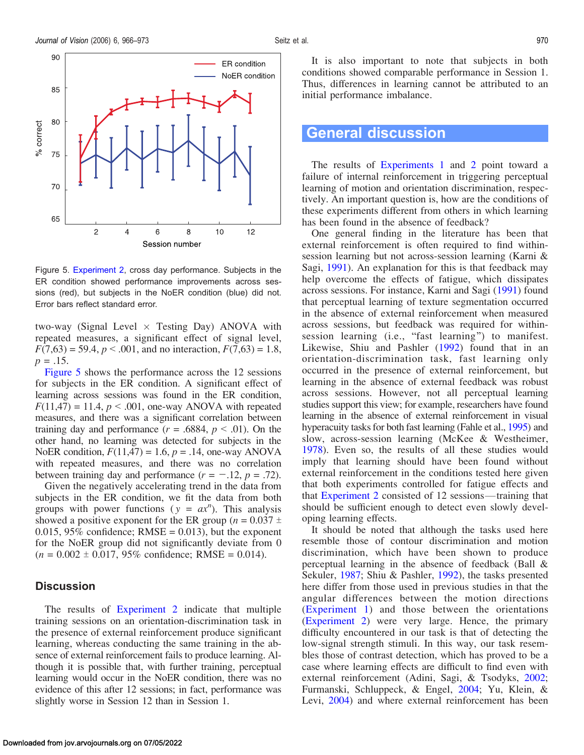

Figure 5. [Experiment 2](#page-2-0), cross day performance. Subjects in the ER condition showed performance improvements across sessions (red), but subjects in the NoER condition (blue) did not. Error bars reflect standard error.

two-way (Signal Level  $\times$  Testing Day) ANOVA with repeated measures, a significant effect of signal level,  $F(7,63) = 59.4, p < .001$ , and no interaction,  $F(7,63) = 1.8$ ,  $p = .15$ .

Figure 5 shows the performance across the 12 sessions for subjects in the ER condition. A significant effect of learning across sessions was found in the ER condition,  $F(11,47) = 11.4$ ,  $p < .001$ , one-way ANOVA with repeated measures, and there was a significant correlation between training day and performance  $(r = .6884, p < .01)$ . On the other hand, no learning was detected for subjects in the NoER condition,  $F(11,47) = 1.6$ ,  $p = .14$ , one-way ANOVA with repeated measures, and there was no correlation between training day and performance  $(r = -.12, p = .72)$ .

Given the negatively accelerating trend in the data from subjects in the ER condition, we fit the data from both groups with power functions ( $y = ax^n$ ). This analysis showed a positive exponent for the ER group ( $n = 0.037 \pm 1$ 0.015, 95% confidence;  $RMSE = 0.013$ ), but the exponent for the NoER group did not significantly deviate from 0  $(n = 0.002 \pm 0.017, 95\%$  confidence; RMSE = 0.014).

### **Discussion**

The results of [Experiment 2](#page-2-0) indicate that multiple training sessions on an orientation-discrimination task in the presence of external reinforcement produce significant learning, whereas conducting the same training in the absence of external reinforcement fails to produce learning. Although it is possible that, with further training, perceptual learning would occur in the NoER condition, there was no evidence of this after 12 sessions; in fact, performance was slightly worse in Session 12 than in Session 1.

It is also important to note that subjects in both conditions showed comparable performance in Session 1. Thus, differences in learning cannot be attributed to an initial performance imbalance.

## General discussion

The results of [Experiments 1](#page-1-0) and [2](#page-2-0) point toward a failure of internal reinforcement in triggering perceptual learning of motion and orientation discrimination, respectively. An important question is, how are the conditions of these experiments different from others in which learning has been found in the absence of feedback?

One general finding in the literature has been that external reinforcement is often required to find withinsession learning but not across-session learning (Karni & Sagi, [1991](#page-7-0)). An explanation for this is that feedback may help overcome the effects of fatigue, which dissipates across sessions. For instance, Karni and Sagi ([1991\)](#page-7-0) found that perceptual learning of texture segmentation occurred in the absence of external reinforcement when measured across sessions, but feedback was required for withinsession learning (i.e., "fast learning") to manifest. Likewise, Shiu and Pashler [\(1992](#page-7-0)) found that in an orientation-discrimination task, fast learning only occurred in the presence of external reinforcement, but learning in the absence of external feedback was robust across sessions. However, not all perceptual learning studies support this view; for example, researchers have found learning in the absence of external reinforcement in visual hyperacuity tasks for both fast learning (Fahle et al., [1995](#page-6-0)) and slow, across-session learning (McKee & Westheimer, [1978\)](#page-7-0). Even so, the results of all these studies would imply that learning should have been found without external reinforcement in the conditions tested here given that both experiments controlled for fatigue effects and that [Experiment 2](#page-2-0) consisted of 12 sessions—training that should be sufficient enough to detect even slowly developing learning effects.

It should be noted that although the tasks used here resemble those of contour discrimination and motion discrimination, which have been shown to produce perceptual learning in the absence of feedback (Ball & Sekuler, [1987](#page-6-0); Shiu & Pashler, [1992\)](#page-7-0), the tasks presented here differ from those used in previous studies in that the angular differences between the motion directions ([Experiment 1](#page-1-0)) and those between the orientations [\(Experiment 2](#page-2-0)) were very large. Hence, the primary difficulty encountered in our task is that of detecting the low-signal strength stimuli. In this way, our task resembles those of contrast detection, which has proved to be a case where learning effects are difficult to find even with external reinforcement (Adini, Sagi, & Tsodyks, [2002;](#page-6-0) Furmanski, Schluppeck, & Engel, [2004;](#page-7-0) Yu, Klein, & Levi, [2004\)](#page-7-0) and where external reinforcement has been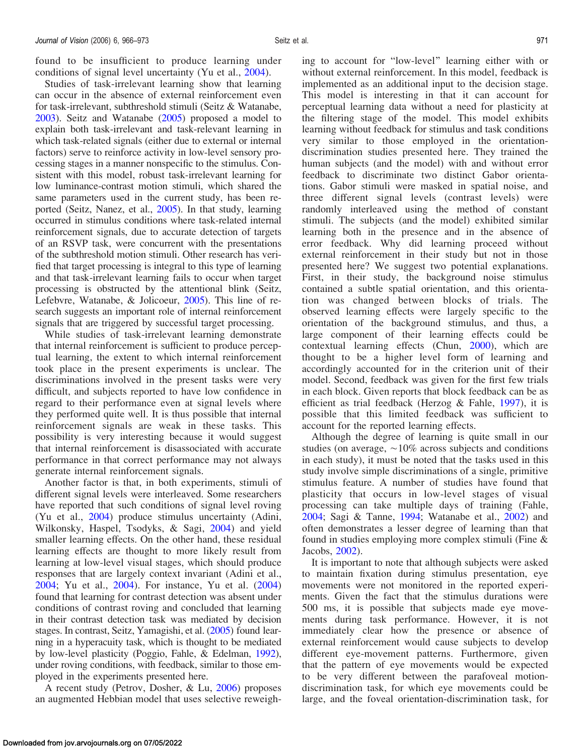found to be insufficient to produce learning under conditions of signal level uncertainty (Yu et al., [2004](#page-7-0)).

Studies of task-irrelevant learning show that learning can occur in the absence of external reinforcement even for task-irrelevant, subthreshold stimuli (Seitz & Watanabe, [2003](#page-7-0)). Seitz and Watanabe ([2005\)](#page-7-0) proposed a model to explain both task-irrelevant and task-relevant learning in which task-related signals (either due to external or internal factors) serve to reinforce activity in low-level sensory processing stages in a manner nonspecific to the stimulus. Consistent with this model, robust task-irrelevant learning for low luminance-contrast motion stimuli, which shared the same parameters used in the current study, has been reported (Seitz, Nanez, et al., [2005\)](#page-7-0). In that study, learning occurred in stimulus conditions where task-related internal reinforcement signals, due to accurate detection of targets of an RSVP task, were concurrent with the presentations of the subthreshold motion stimuli. Other research has verified that target processing is integral to this type of learning and that task-irrelevant learning fails to occur when target processing is obstructed by the attentional blink (Seitz, Lefebvre, Watanabe, & Jolicoeur, [2005](#page-7-0)). This line of research suggests an important role of internal reinforcement signals that are triggered by successful target processing.

While studies of task-irrelevant learning demonstrate that internal reinforcement is sufficient to produce perceptual learning, the extent to which internal reinforcement took place in the present experiments is unclear. The discriminations involved in the present tasks were very difficult, and subjects reported to have low confidence in regard to their performance even at signal levels where they performed quite well. It is thus possible that internal reinforcement signals are weak in these tasks. This possibility is very interesting because it would suggest that internal reinforcement is disassociated with accurate performance in that correct performance may not always generate internal reinforcement signals.

Another factor is that, in both experiments, stimuli of different signal levels were interleaved. Some researchers have reported that such conditions of signal level roving (Yu et al., [2004\)](#page-7-0) produce stimulus uncertainty (Adini, Wilkonsky, Haspel, Tsodyks, & Sagi, [2004](#page-6-0)) and yield smaller learning effects. On the other hand, these residual learning effects are thought to more likely result from learning at low-level visual stages, which should produce responses that are largely context invariant (Adini et al., [2004;](#page-6-0) Yu et al., [2004\)](#page-7-0). For instance, Yu et al. ([2004\)](#page-7-0) found that learning for contrast detection was absent under conditions of contrast roving and concluded that learning in their contrast detection task was mediated by decision stages. In contrast, Seitz, Yamagishi, et al. [\(2005\)](#page-7-0) found learning in a hyperacuity task, which is thought to be mediated by low-level plasticity (Poggio, Fahle, & Edelman, [1992](#page-7-0)), under roving conditions, with feedback, similar to those employed in the experiments presented here.

A recent study (Petrov, Dosher, & Lu, [2006\)](#page-7-0) proposes an augmented Hebbian model that uses selective reweighing to account for "low-level" learning either with or without external reinforcement. In this model, feedback is implemented as an additional input to the decision stage. This model is interesting in that it can account for perceptual learning data without a need for plasticity at the filtering stage of the model. This model exhibits learning without feedback for stimulus and task conditions very similar to those employed in the orientationdiscrimination studies presented here. They trained the human subjects (and the model) with and without error feedback to discriminate two distinct Gabor orientations. Gabor stimuli were masked in spatial noise, and three different signal levels (contrast levels) were randomly interleaved using the method of constant stimuli. The subjects (and the model) exhibited similar learning both in the presence and in the absence of error feedback. Why did learning proceed without external reinforcement in their study but not in those presented here? We suggest two potential explanations. First, in their study, the background noise stimulus contained a subtle spatial orientation, and this orientation was changed between blocks of trials. The observed learning effects were largely specific to the orientation of the background stimulus, and thus, a large component of their learning effects could be contextual learning effects (Chun, [2000](#page-6-0)), which are thought to be a higher level form of learning and accordingly accounted for in the criterion unit of their model. Second, feedback was given for the first few trials in each block. Given reports that block feedback can be as efficient as trial feedback (Herzog & Fahle, [1997\)](#page-7-0), it is possible that this limited feedback was sufficient to account for the reported learning effects.

Although the degree of learning is quite small in our studies (on average,  $\sim 10\%$  across subjects and conditions in each study), it must be noted that the tasks used in this study involve simple discriminations of a single, primitive stimulus feature. A number of studies have found that plasticity that occurs in low-level stages of visual processing can take multiple days of training (Fahle, [2004;](#page-6-0) Sagi & Tanne, [1994](#page-7-0); Watanabe et al., [2002\)](#page-7-0) and often demonstrates a lesser degree of learning than that found in studies employing more complex stimuli (Fine & Jacobs, [2002](#page-6-0)).

It is important to note that although subjects were asked to maintain fixation during stimulus presentation, eye movements were not monitored in the reported experiments. Given the fact that the stimulus durations were 500 ms, it is possible that subjects made eye movements during task performance. However, it is not immediately clear how the presence or absence of external reinforcement would cause subjects to develop different eye-movement patterns. Furthermore, given that the pattern of eye movements would be expected to be very different between the parafoveal motiondiscrimination task, for which eye movements could be large, and the foveal orientation-discrimination task, for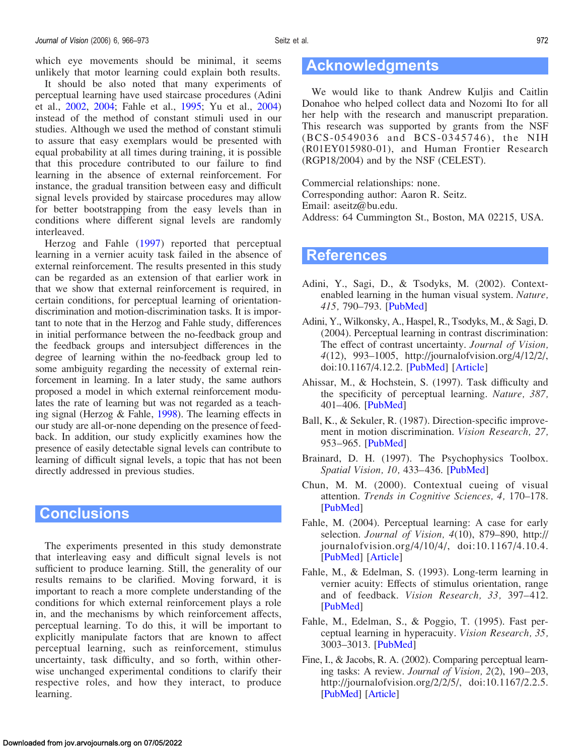<span id="page-6-0"></span>which eye movements should be minimal, it seems unlikely that motor learning could explain both results.

It should be also noted that many experiments of perceptual learning have used staircase procedures (Adini et al., 2002, 2004; Fahle et al., 1995; Yu et al., [2004\)](#page-7-0) instead of the method of constant stimuli used in our studies. Although we used the method of constant stimuli to assure that easy exemplars would be presented with equal probability at all times during training, it is possible that this procedure contributed to our failure to find learning in the absence of external reinforcement. For instance, the gradual transition between easy and difficult signal levels provided by staircase procedures may allow for better bootstrapping from the easy levels than in conditions where different signal levels are randomly interleaved.

Herzog and Fahle [\(1997\)](#page-7-0) reported that perceptual learning in a vernier acuity task failed in the absence of external reinforcement. The results presented in this study can be regarded as an extension of that earlier work in that we show that external reinforcement is required, in certain conditions, for perceptual learning of orientationdiscrimination and motion-discrimination tasks. It is important to note that in the Herzog and Fahle study, differences in initial performance between the no-feedback group and the feedback groups and intersubject differences in the degree of learning within the no-feedback group led to some ambiguity regarding the necessity of external reinforcement in learning. In a later study, the same authors proposed a model in which external reinforcement modulates the rate of learning but was not regarded as a teaching signal (Herzog & Fahle, [1998](#page-7-0)). The learning effects in our study are all-or-none depending on the presence of feedback. In addition, our study explicitly examines how the presence of easily detectable signal levels can contribute to learning of difficult signal levels, a topic that has not been directly addressed in previous studies.

## **Conclusions**

The experiments presented in this study demonstrate that interleaving easy and difficult signal levels is not sufficient to produce learning. Still, the generality of our results remains to be clarified. Moving forward, it is important to reach a more complete understanding of the conditions for which external reinforcement plays a role in, and the mechanisms by which reinforcement affects, perceptual learning. To do this, it will be important to explicitly manipulate factors that are known to affect perceptual learning, such as reinforcement, stimulus uncertainty, task difficulty, and so forth, within otherwise unchanged experimental conditions to clarify their respective roles, and how they interact, to produce learning.

# Acknowledgments

We would like to thank Andrew Kuljis and Caitlin Donahoe who helped collect data and Nozomi Ito for all her help with the research and manuscript preparation. This research was supported by grants from the NSF (BCS-0549036 and BCS-0345746), the NIH (R01EY015980-01), and Human Frontier Research (RGP18/2004) and by the NSF (CELEST).

Commercial relationships: none. Corresponding author: Aaron R. Seitz. Email: aseitz@bu.edu. Address: 64 Cummington St., Boston, MA 02215, USA.

## **References**

- Adini, Y., Sagi, D., & Tsodyks, M. (2002). Contextenabled learning in the human visual system. Nature, 415, 790–793. [[PubMed\]](http://www.ncbi.nlm.nih.gov/entrez/query.fcgi?db=pubmed&cmd=Retrieve&dopt=Abstract&list_uids=11845209&query_hl=2&itool=pubmed_docsum)
- Adini, Y., Wilkonsky, A., Haspel, R., Tsodyks, M., & Sagi, D. (2004). Perceptual learning in contrast discrimination: The effect of contrast uncertainty. Journal of Vision, 4(12), 993–1005, http://journalofvision.org/4/12/2/, doi:10.1167/4.12.2. [[PubMed\]](http://www.ncbi.nlm.nih.gov/entrez/query.fcgi?db=pubmed&cmd=Retrieve&dopt=Abstract&list_uids=15669907&query_hl=4&itool=pubmed_docsum) [[Article](http://journalofvision.org/4/12/2/)]
- Ahissar, M., & Hochstein, S. (1997). Task difficulty and the specificity of perceptual learning. Nature, 387, 401–406. [[PubMed\]](http://www.ncbi.nlm.nih.gov/entrez/query.fcgi?db=pubmed&cmd=Retrieve&dopt=Abstract&list_uids=9163425&query_hl=5&itool=pubmed_docsum)
- Ball, K., & Sekuler, R. (1987). Direction-specific improvement in motion discrimination. Vision Research, 27, 953–965. [[PubMed\]](http://www.ncbi.nlm.nih.gov/entrez/query.fcgi?db=pubmed&cmd=Retrieve&dopt=AbstractPlus&list_uids=3660656&query_hl=6&itool=pubmed_docsum)
- Brainard, D. H. (1997). The Psychophysics Toolbox. Spatial Vision, 10, 433–436. [[PubMed](http://www.ncbi.nlm.nih.gov/entrez/query.fcgi?db=pubmed&cmd=Retrieve&dopt=Abstract&list_uids=9176952&query_hl=14&itool=pubmed_docsum)]
- Chun, M. M. (2000). Contextual cueing of visual attention. Trends in Cognitive Sciences, 4, 170–178. [\[PubMed](http://www.ncbi.nlm.nih.gov/entrez/query.fcgi?db=pubmed&cmd=Retrieve&dopt=Abstract&list_uids=10782102&query_hl=17&itool=pubmed_docsum)]
- Fahle, M. (2004). Perceptual learning: A case for early selection. Journal of Vision, 4(10), 879-890, http:// journalofvision.org/4/10/4/, doi:10.1167/4.10.4. [\[PubMed](http://www.ncbi.nlm.nih.gov/entrez/query.fcgi?db=pubmed&cmd=Retrieve&dopt=Abstract&list_uids=15595892&query_hl=19&itool=pubmed_docsum)] [\[Article\]](http://journalofvision.org/4/10/4/)
- Fahle, M., & Edelman, S. (1993). Long-term learning in vernier acuity: Effects of stimulus orientation, range and of feedback. Vision Research, 33, 397–412. [\[PubMed](http://www.ncbi.nlm.nih.gov/entrez/query.fcgi?db=pubmed&cmd=Retrieve&dopt=Abstract&list_uids=8447110&query_hl=14&itool=pubmed_docsum)]
- Fahle, M., Edelman, S., & Poggio, T. (1995). Fast perceptual learning in hyperacuity. Vision Research, 35, 3003–3013. [[PubMed\]](http://www.ncbi.nlm.nih.gov/entrez/query.fcgi?db=pubmed&cmd=Retrieve&dopt=Abstract&list_uids=8533337&query_hl=23&itool=pubmed_docsum)
- Fine, I., & Jacobs, R. A. (2002). Comparing perceptual learning tasks: A review. Journal of Vision, 2(2), 190–203, http://journalofvision.org/2/2/5/, doi:10.1167/2.2.5. [\[PubMed\]](http://www.ncbi.nlm.nih.gov/entrez/query.fcgi?db=pubmed&cmd=Retrieve&dopt=Abstract&list_uids=12678592&query_hl=25&itool=pubmed_docsum) [\[Article](http://journalofvision.org/2/2/5/)]